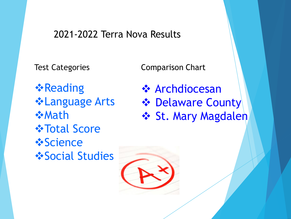## 2021-2022 Terra Nova Results

Test Categories

Comparison Chart

**❖Reading** ❖Language Arts ❖Math ❖Total Score ❖Science ❖Social Studies

❖ Archdiocesan ❖ Delaware County **❖ St. Mary Magdalen**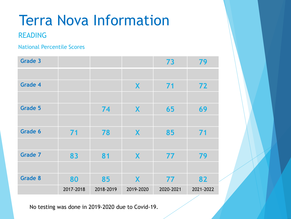### READING

#### National Percentile Scores

| Grade 3        |           |           |           | 73        | 79        |
|----------------|-----------|-----------|-----------|-----------|-----------|
|                |           |           |           |           |           |
| <b>Grade 4</b> |           |           | X         | 71        | 72        |
|                |           |           |           |           |           |
| <b>Grade 5</b> |           | 74        | X         | 65        | 69        |
|                |           |           |           |           |           |
| <b>Grade 6</b> | 71        | 78        | X         | 85        | 71        |
|                |           |           |           |           |           |
| <b>Grade 7</b> | 83        | 81        | X         | 77        | 79        |
|                |           |           |           |           |           |
| <b>Grade 8</b> | 80        | 85        | X         | 77        | 82        |
|                | 2017-2018 | 2018-2019 | 2019-2020 | 2020-2021 | 2021-2022 |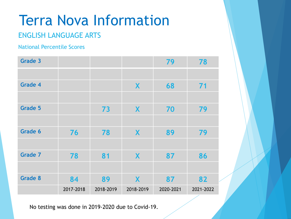### ENGLISH LANGUAGE ARTS

#### National Percentile Scores

| Grade 3        |           |           |           | 79        | 78        |
|----------------|-----------|-----------|-----------|-----------|-----------|
|                |           |           |           |           |           |
| Grade 4        |           |           | X         | 68        | 71        |
|                |           |           |           |           |           |
| Grade 5        |           | 73        | X         | 70        | 79        |
|                |           |           |           |           |           |
| Grade 6        | 76        | 78        | X         | 89        | 79        |
|                |           |           |           |           |           |
| <b>Grade 7</b> | 78        | 81        | X         | 87        | 86        |
|                |           |           |           |           |           |
| <b>Grade 8</b> | 84        | 89        | X         | 87        | 82        |
|                | 2017-2018 | 2018-2019 | 2018-2019 | 2020-2021 | 2021-2022 |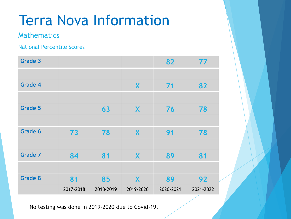### Mathematics

#### National Percentile Scores

| Grade 3        |           |           |           | 82        | 77        |
|----------------|-----------|-----------|-----------|-----------|-----------|
|                |           |           |           |           |           |
| <b>Grade 4</b> |           |           | X         | 71        | 82        |
|                |           |           |           |           |           |
| Grade 5        |           | 63        | X         | 76        | 78        |
|                |           |           |           |           |           |
| <b>Grade 6</b> | 73        | 78        | X         | 91        | 78        |
|                |           |           |           |           |           |
| <b>Grade 7</b> | 84        | 81        | X         | 89        | 81        |
|                |           |           |           |           |           |
| <b>Grade 8</b> | 81        | 85        | X         | 89        | 92        |
|                | 2017-2018 | 2018-2019 | 2019-2020 | 2020-2021 | 2021-2022 |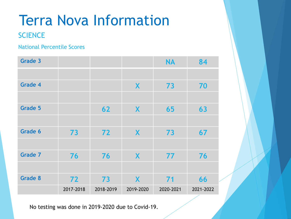### **SCIENCE**

#### National Percentile Scores

| Grade 3        |           |           |           | <b>NA</b> | 84        |
|----------------|-----------|-----------|-----------|-----------|-----------|
|                |           |           |           |           |           |
| Grade 4        |           |           | X         | 73        | 70        |
|                |           |           |           |           |           |
| <b>Grade 5</b> |           | 62        | X         | 65        | 63        |
|                |           |           |           |           |           |
| <b>Grade 6</b> | 73        | 72        | X         | 73        | 67        |
|                |           |           |           |           |           |
| <b>Grade 7</b> | 76        | 76        | X         | 77        | 76        |
|                |           |           |           |           |           |
| <b>Grade 8</b> | 72        | 73        | X         | 71        | 66        |
|                | 2017-2018 | 2018-2019 | 2019-2020 | 2020-2021 | 2021-2022 |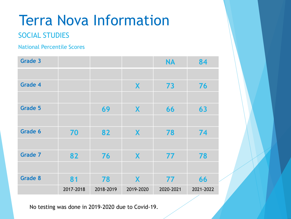### SOCIAL STUDIES

#### National Percentile Scores

| Grade 3        |           |           |           | <b>NA</b> | 84        |
|----------------|-----------|-----------|-----------|-----------|-----------|
|                |           |           |           |           |           |
| <b>Grade 4</b> |           |           | X         | 73        | 76        |
|                |           |           |           |           |           |
| <b>Grade 5</b> |           | 69        | X         | 66        | 63        |
|                |           |           |           |           |           |
| <b>Grade 6</b> | 70        | 82        | X         | 78        | 74        |
|                |           |           |           |           |           |
| <b>Grade 7</b> | 82        | 76        | X         | 77        | 78        |
|                |           |           |           |           |           |
| <b>Grade 8</b> | 81        | 78        | X         | 77        | 66        |
|                | 2017-2018 | 2018-2019 | 2019-2020 | 2020-2021 | 2021-2022 |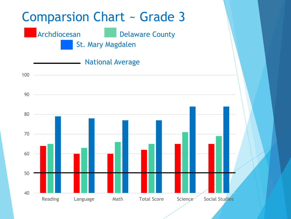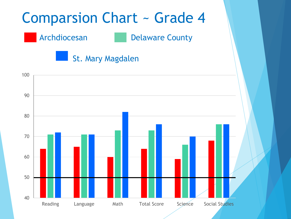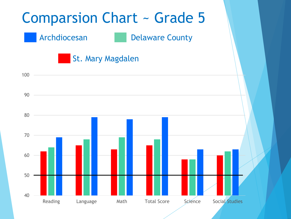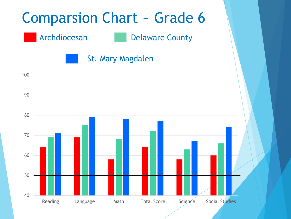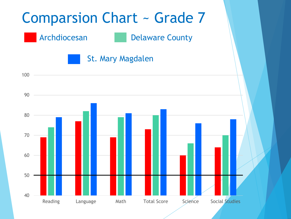